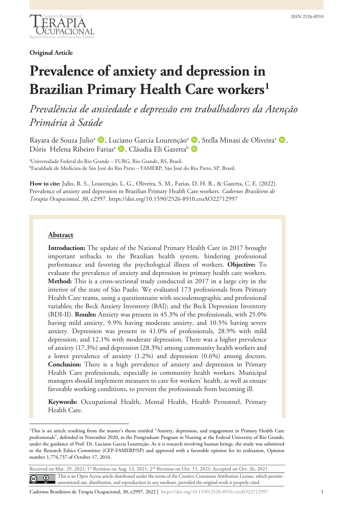

**Original Article**

# **Prevalence of anxiety and depression in Brazilian Primary Health Care workers[1](#page-0-0)**

*Prevalência de ansiedade e depressão em trabalhadores da Atenção Primária à Saúde*

Rayara de Souza Julio<sup>a</sup> (D, Luciano Garcia Lourenção<sup>a</sup> (D, Stella Minasi de Oliveira<sup>a</sup> (D, Dóris Helena Ribeiro Farias<sup>a</sup> D, Cláudia Eli Gazetta<sup>b</sup> D

a Universidade Federal do Rio Grande – FURG, Rio Grande, RS, Brasil. b Faculdade de Medicina de São José do Rio Preto – FAMERP, São José do Rio Preto, SP, Brasil.

**How to cite:** Julio, R. S., Lourenção, L. G., Oliveira, S. M., Farias, D. H. R., & Gazetta, C. E. (2022). Prevalence of anxiety and depression in Brazilian Primary Health Care workers. *Cadernos Brasileiros de Terapia Ocupacional*, *30*, e2997. https://doi.org/10.1590/2526-8910.ctoAO22712997

#### **Abstract**

**Introduction:** The update of the National Primary Health Care in 2017 brought important setbacks to the Brazilian health system, hindering professional performance and favoring the psychological illness of workers. **Objective:** To evaluate the prevalence of anxiety and depression in primary health care workers. **Method:** This is a cross-sectional study conducted in 2017 in a large city in the interior of the state of São Paulo. We evaluated 173 professionals from Primary Health Care teams, using a questionnaire with sociodemographic and professional variables; the Beck Anxiety Inventory (BAI); and the Beck Depression Inventory (BDI-II). **Results:** Anxiety was present in 45.3% of the professionals, with 25.0% having mild anxiety, 9.9% having moderate anxiety, and 10.5% having severe anxiety. Depression was present in 41.0% of professionals, 28.9% with mild depression, and 12.1% with moderate depression. There was a higher prevalence of anxiety (17.3%) and depression (28.3%) among community health workers and a lower prevalence of anxiety (1.2%) and depression (0.6%) among doctors. **Conclusion:** There is a high prevalence of anxiety and depression in Primary Health Care professionals, especially in community health workers. Municipal managers should implement measures to care for workers' health, as well as ensure favorable working conditions, to prevent the professionals from becoming ill.

**Keywords:** Occupational Health, Mental Health, Health Personnel, Primary Health Care.

<span id="page-0-0"></span><sup>1</sup> This is an article resulting from the master's thesis entitled "Anxiety, depression, and engagement in Primary Health Care professionals", defended in November 2020, in the Postgraduate Program in Nursing at the Federal University of Rio Grande, under the guidance of Prof. Dr. Luciano Garcia Lourenção. As it is research involving human beings, the study was submitted to the Research Ethics Committee (CEP-FAMERP/SP) and approved with a favorable opinion for its realization, Opinion number 1,776,737 of October 17, 2016.

| Received on Mar. 29, 2021; 1 <sup>st</sup> Revision on Aug. 12, 2021; 2 <sup>nd</sup> Revision on Oct. 15, 2021; Accepted on Oct. 26, 2021. |  |                                                                                                                                                                                                                                     |  |  |
|---------------------------------------------------------------------------------------------------------------------------------------------|--|-------------------------------------------------------------------------------------------------------------------------------------------------------------------------------------------------------------------------------------|--|--|
|                                                                                                                                             |  | <b>C</b> This is an Open Access article distributed under the terms of the Creative Commons Attribution License, which permits unrestricted use, distribution, and reproduction in any medium, provided the original work is proper |  |  |
|                                                                                                                                             |  |                                                                                                                                                                                                                                     |  |  |

Cadernos Brasileiros de Terapia Ocupacional, 30, e2997, 2022 | https://doi.org/10.1590/2526-8910.ctoAO22712997 1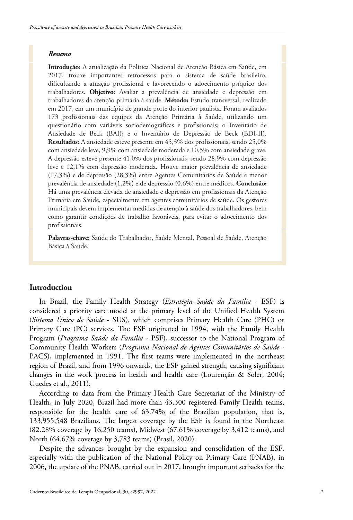## *Resumo*

**Introdução:** A atualização da Política Nacional de Atenção Básica em Saúde, em 2017, trouxe importantes retrocessos para o sistema de saúde brasileiro, dificultando a atuação profissional e favorecendo o adoecimento psíquico dos trabalhadores. **Objetivo:** Avaliar a prevalência de ansiedade e depressão em trabalhadores da atenção primária à saúde. **Método:** Estudo transversal, realizado em 2017, em um município de grande porte do interior paulista. Foram avaliados 173 profissionais das equipes da Atenção Primária à Saúde, utilizando um questionário com variáveis sociodemográficas e profissionais; o Inventário de Ansiedade de Beck (BAI); e o Inventário de Depressão de Beck (BDI-II). **Resultados:** A ansiedade esteve presente em 45,3% dos profissionais, sendo 25,0% com ansiedade leve, 9,9% com ansiedade moderada e 10,5% com ansiedade grave. A depressão esteve presente 41,0% dos profissionais, sendo 28,9% com depressão leve e 12,1% com depressão moderada. Houve maior prevalência de ansiedade (17,3%) e de depressão (28,3%) entre Agentes Comunitários de Saúde e menor prevalência de ansiedade (1,2%) e de depressão (0,6%) entre médicos. **Conclusão:** Há uma prevalência elevada de ansiedade e depressão em profissionais da Atenção Primária em Saúde, especialmente em agentes comunitários de saúde. Os gestores municipais devem implementar medidas de atenção à saúde dos trabalhadores, bem como garantir condições de trabalho favoráveis, para evitar o adoecimento dos profissionais.

**Palavras-chave:** Saúde do Trabalhador, Saúde Mental, Pessoal de Saúde, Atenção Básica à Saúde.

## **Introduction**

In Brazil, the Family Health Strategy (*Estratégia Saúde da Família* - ESF) is considered a priority care model at the primary level of the Unified Health System (*Sistema Único de Saúde* - SUS), which comprises Primary Health Care (PHC) or Primary Care (PC) services. The ESF originated in 1994, with the Family Health Program (*Programa Saúde da Família* - PSF), successor to the National Program of Community Health Workers (*Programa Nacional de Agentes Comunitários de Saúde* - PACS), implemented in 1991. The first teams were implemented in the northeast region of Brazil, and from 1996 onwards, the ESF gained strength, causing significant changes in the work process in health and health care (Lourenção & Soler, 2004; Guedes et al., 2011).

According to data from the Primary Health Care Secretariat of the Ministry of Health, in July 2020, Brazil had more than 43,300 registered Family Health teams, responsible for the health care of 63.74% of the Brazilian population, that is, 133,955,548 Brazilians. The largest coverage by the ESF is found in the Northeast (82.28% coverage by 16,250 teams), Midwest (67.61% coverage by 3,412 teams), and North (64.67% coverage by 3,783 teams) (Brasil, 2020).

Despite the advances brought by the expansion and consolidation of the ESF, especially with the publication of the National Policy on Primary Care (PNAB), in 2006, the update of the PNAB, carried out in 2017, brought important setbacks for the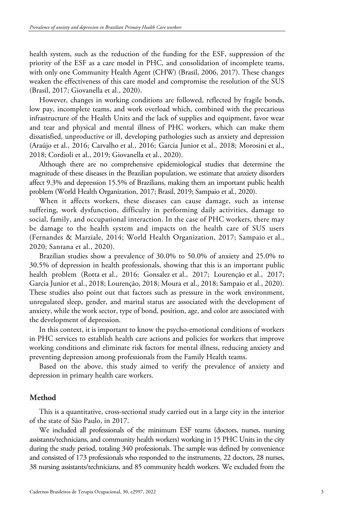health system, such as the reduction of the funding for the ESF, suppression of the priority of the ESF as a care model in PHC, and consolidation of incomplete teams, with only one Community Health Agent (CHW) (Brasil, 2006, 2017). These changes weaken the effectiveness of this care model and compromise the resolution of the SUS (Brasil, 2017; Giovanella et al., 2020).

However, changes in working conditions are followed, reflected by fragile bonds, low pay, incomplete teams, and work overload which, combined with the precarious infrastructure of the Health Units and the lack of supplies and equipment, favor wear and tear and physical and mental illness of PHC workers, which can make them dissatisfied, unproductive or ill, developing pathologies such as anxiety and depression (Araújo et al., 2016; Carvalho et al., 2016; Garcia Junior et al., 2018; Morosini et al., 2018; Cordioli et al., 2019; Giovanella et al., 2020).

Although there are no comprehensive epidemiological studies that determine the magnitude of these diseases in the Brazilian population, we estimate that anxiety disorders affect 9.3% and depression 15.5% of Brazilians, making them an important public health problem (World Health Organization, 2017; Brasil, 2019; Sampaio et al., 2020).

When it affects workers, these diseases can cause damage, such as intense suffering, work dysfunction, difficulty in performing daily activities, damage to social, family, and occupational interaction. In the case of PHC workers, there may be damage to the health system and impacts on the health care of SUS users (Fernandes & Marziale, 2014; World Health Organization, 2017; Sampaio et al., 2020; Santana et al., 2020).

Brazilian studies show a prevalence of 30.0% to 50.0% of anxiety and 25.0% to 30.5% of depression in health professionals, showing that this is an important public health problem (Rotta et al., 2016; Gonsalez et al., 2017; Lourenção et al., 2017; Garcia Junior et al., 2018; Lourenção, 2018; Moura et al., 2018; Sampaio et al., 2020). These studies also point out that factors such as pressure in the work environment, unregulated sleep, gender, and marital status are associated with the development of anxiety, while the work sector, type of bond, position, age, and color are associated with the development of depression.

In this context, it is important to know the psycho-emotional conditions of workers in PHC services to establish health care actions and policies for workers that improve working conditions and eliminate risk factors for mental illness, reducing anxiety and preventing depression among professionals from the Family Health teams.

Based on the above, this study aimed to verify the prevalence of anxiety and depression in primary health care workers.

### **Method**

This is a quantitative, cross-sectional study carried out in a large city in the interior of the state of São Paulo, in 2017.

We included all professionals of the minimum ESF teams (doctors, nurses, nursing assistants/technicians, and community health workers) working in 15 PHC Units in the city during the study period, totaling 340 professionals. The sample was defined by convenience and consisted of 173 professionals who responded to the instruments, 22 doctors, 28 nurses, 38 nursing assistants/technicians, and 85 community health workers. We excluded from the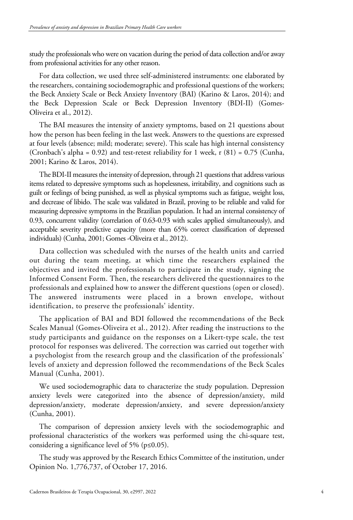study the professionals who were on vacation during the period of data collection and/or away from professional activities for any other reason.

For data collection, we used three self-administered instruments: one elaborated by the researchers, containing sociodemographic and professional questions of the workers; the Beck Anxiety Scale or Beck Anxiety Inventory (BAI) (Karino & Laros, 2014); and the Beck Depression Scale or Beck Depression Inventory (BDI-II) (Gomes-Oliveira et al., 2012).

The BAI measures the intensity of anxiety symptoms, based on 21 questions about how the person has been feeling in the last week. Answers to the questions are expressed at four levels (absence; mild; moderate; severe). This scale has high internal consistency (Cronbach's alpha = 0.92) and test-retest reliability for 1 week,  $r(81) = 0.75$  (Cunha, 2001; Karino & Laros, 2014).

The BDI-II measures the intensity of depression, through 21 questions that address various items related to depressive symptoms such as hopelessness, irritability, and cognitions such as guilt or feelings of being punished, as well as physical symptoms such as fatigue, weight loss, and decrease of libido. The scale was validated in Brazil, proving to be reliable and valid for measuring depressive symptoms in the Brazilian population. It had an internal consistency of 0.93, concurrent validity (correlation of 0.63-0.93 with scales applied simultaneously), and acceptable severity predictive capacity (more than 65% correct classification of depressed individuals) (Cunha, 2001; Gomes -Oliveira et al., 2012).

Data collection was scheduled with the nurses of the health units and carried out during the team meeting, at which time the researchers explained the objectives and invited the professionals to participate in the study, signing the Informed Consent Form. Then, the researchers delivered the questionnaires to the professionals and explained how to answer the different questions (open or closed). The answered instruments were placed in a brown envelope, without identification, to preserve the professionals' identity.

The application of BAI and BDI followed the recommendations of the Beck Scales Manual (Gomes-Oliveira et al., 2012). After reading the instructions to the study participants and guidance on the responses on a Likert-type scale, the test protocol for responses was delivered. The correction was carried out together with a psychologist from the research group and the classification of the professionals' levels of anxiety and depression followed the recommendations of the Beck Scales Manual (Cunha, 2001).

We used sociodemographic data to characterize the study population. Depression anxiety levels were categorized into the absence of depression/anxiety, mild depression/anxiety, moderate depression/anxiety, and severe depression/anxiety (Cunha, 2001).

The comparison of depression anxiety levels with the sociodemographic and professional characteristics of the workers was performed using the chi-square test, considering a significance level of 5% (p≤0.05).

The study was approved by the Research Ethics Committee of the institution, under Opinion No. 1,776,737, of October 17, 2016.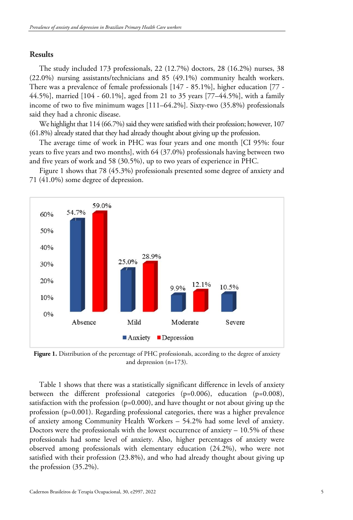# **Results**

The study included 173 professionals, 22 (12.7%) doctors, 28 (16.2%) nurses, 38 (22.0%) nursing assistants/technicians and 85 (49.1%) community health workers. There was a prevalence of female professionals [147 - 85.1%], higher education [77 - 44.5%], married [104 - 60.1%], aged from 21 to 35 years [77–44.5%], with a family income of two to five minimum wages [111–64.2%]. Sixty-two (35.8%) professionals said they had a chronic disease.

We highlight that 114 (66.7%) said they were satisfied with their profession; however, 107 (61.8%) already stated that they had already thought about giving up the profession.

The average time of work in PHC was four years and one month [CI 95%: four years to five years and two months], with 64 (37.0%) professionals having between two and five years of work and 58 (30.5%), up to two years of experience in PHC.

Figure 1 shows that 78 (45.3%) professionals presented some degree of anxiety and 71 (41.0%) some degree of depression.



Figure 1. Distribution of the percentage of PHC professionals, according to the degree of anxiety and depression (n=173).

Table 1 shows that there was a statistically significant difference in levels of anxiety between the different professional categories  $(p=0.006)$ , education  $(p=0.008)$ , satisfaction with the profession ( $p=0.000$ ), and have thought or not about giving up the profession ( $p=0.001$ ). Regarding professional categories, there was a higher prevalence of anxiety among Community Health Workers – 54.2% had some level of anxiety. Doctors were the professionals with the lowest occurrence of anxiety – 10.5% of these professionals had some level of anxiety. Also, higher percentages of anxiety were observed among professionals with elementary education (24.2%), who were not satisfied with their profession (23.8%), and who had already thought about giving up the profession (35.2%).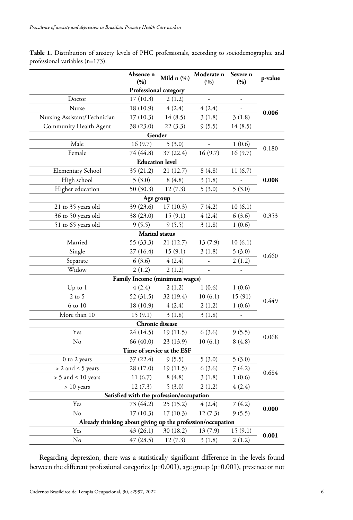| Table 1. Distribution of anxiety levels of PHC professionals, according to sociodemographic and |  |  |
|-------------------------------------------------------------------------------------------------|--|--|
| professional variables (n=173).                                                                 |  |  |

|                                                            | Absence n<br>(%)       | Mild $n$ $(\%)$               | Moderate n<br>(%)        | Severe n<br>(%) | p-value |  |  |
|------------------------------------------------------------|------------------------|-------------------------------|--------------------------|-----------------|---------|--|--|
|                                                            |                        | Professional category         |                          |                 |         |  |  |
| Doctor                                                     | 17(10.3)               | 2(1.2)                        |                          |                 |         |  |  |
| Nurse                                                      | 18(10.9)               | 4(2.4)                        | 4(2.4)                   |                 |         |  |  |
| Nursing Assistant/Technician                               | 17(10.3)               | 14(8.5)                       | 3(1.8)                   | 3(1.8)          | 0.006   |  |  |
| Community Health Agent                                     | 38 (23.0)              | 22(3.3)                       | 9(5.5)                   | 14(8.5)         |         |  |  |
| Gender                                                     |                        |                               |                          |                 |         |  |  |
| Male<br>16(9.7)<br>5(3.0)<br>1(0.6)                        |                        |                               |                          |                 |         |  |  |
| Female                                                     | 74 (44.8)              | 37(22.4)                      | 16(9.7)                  | 16(9.7)         | 0.180   |  |  |
|                                                            | <b>Education</b> level |                               |                          |                 |         |  |  |
| <b>Elementary School</b>                                   | 35(21.2)               | 21 (12.7)                     | 8(4.8)                   | 11(6.7)         |         |  |  |
| High school                                                | 5(3.0)                 | 8(4.8)                        | 3(1.8)                   | $\overline{a}$  | 0.008   |  |  |
| Higher education                                           | 50 (30.3)              | 12(7.3)                       | 5(3.0)                   | 5(3.0)          |         |  |  |
|                                                            | Age group              |                               |                          |                 |         |  |  |
| 21 to 35 years old                                         | 39 (23.6)              | 17(10.3)                      | 7(4.2)                   | 10(6.1)         |         |  |  |
| 36 to 50 years old                                         | 38 (23.0)              | 15(9.1)                       | 4(2.4)                   | 6(3.6)          | 0.353   |  |  |
| 51 to 65 years old                                         | 9(5.5)                 | 9(5.5)                        | 3(1.8)                   | 1(0.6)          |         |  |  |
|                                                            | <b>Marital</b> status  |                               |                          |                 |         |  |  |
| Married                                                    | 55 (33.3)              | 21 (12.7)                     | 13(7.9)                  | 10(6.1)         |         |  |  |
| Single                                                     | 27(16.4)               | 15(9.1)                       | 3(1.8)                   | 5(3.0)          | 0.660   |  |  |
| Separate                                                   | 6(3.6)                 | 4(2.4)                        | $\overline{\phantom{a}}$ | 2(1.2)          |         |  |  |
| Widow                                                      | 2(1.2)                 | 2(1.2)                        | $\overline{\phantom{a}}$ |                 |         |  |  |
|                                                            |                        | Family Income (minimum wages) |                          |                 |         |  |  |
| $Up$ to $1$                                                | 4(2.4)                 | 2(1.2)                        | 1(0.6)                   | 1(0.6)          |         |  |  |
| $2$ to 5                                                   | 52 (31.5)              | 32 (19.4)                     | 10(6.1)                  | 15 (91)         | 0.449   |  |  |
| 6 to 10                                                    | 18 (10.9)              | 4(2.4)                        | 2(1.2)                   | 1(0.6)          |         |  |  |
| More than 10                                               | 15(9.1)                | 3(1.8)                        | 3(1.8)                   |                 |         |  |  |
|                                                            | Chronic disease        |                               |                          |                 |         |  |  |
| Yes                                                        | 24 (14.5)              | 19(11.5)                      | 6(3.6)                   | 9(5.5)          | 0.068   |  |  |
| No                                                         | 66 (40.0)              | 23 (13.9)                     | 10(6.1)                  | 8(4.8)          |         |  |  |
|                                                            |                        | Time of service at the ESF    |                          |                 |         |  |  |
| 0 to 2 years                                               | 37 (22.4)              | 9(5.5)                        | 5(3.0)                   | 5(3.0)          |         |  |  |
| $> 2$ and $\leq 5$ years                                   | 28 (17.0)              | 19(11.5)                      | 6(3.6)                   | 7(4.2)          | 0.684   |  |  |
| $> 5$ and $\leq 10$ years                                  | 11(6.7)                | 8(4.8)                        | 3(1.8)                   | 1(0.6)          |         |  |  |
| $> 10$ years                                               | 12(7.3)                | 5(3.0)                        | 2(1.2)                   | 4(2.4)          |         |  |  |
| Satisfied with the profession/occupation                   |                        |                               |                          |                 |         |  |  |
| Yes                                                        | 73 (44.2)              | 25(15.2)                      | 4(2.4)                   | 7(4.2)          | 0.000   |  |  |
| No<br>17(10.3)<br>17(10.3)<br>12(7.3)<br>9(5.5)            |                        |                               |                          |                 |         |  |  |
| Already thinking about giving up the profession/occupation |                        |                               |                          |                 |         |  |  |
| Yes                                                        | 43 (26.1)              | 30 (18.2)                     | 13(7.9)                  | 15(9.1)         | 0.001   |  |  |
| No                                                         | 47(28.5)               | 12(7.3)                       | 3(1.8)                   | 2(1.2)          |         |  |  |

Regarding depression, there was a statistically significant difference in the levels found between the different professional categories (p=0.001), age group (p=0.001), presence or not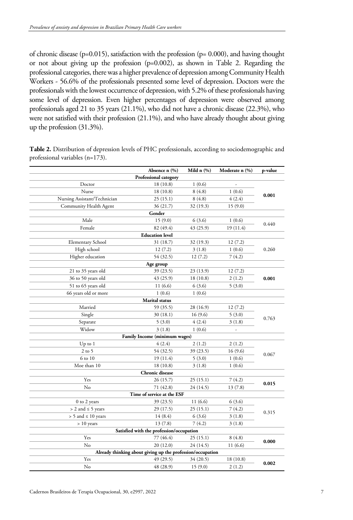of chronic disease ( $p=0.015$ ), satisfaction with the profession ( $p= 0.000$ ), and having thought or not about giving up the profession (p=0.002), as shown in Table 2. Regarding the professional categories, there was a higher prevalence of depression among Community Health Workers - 56.6% of the professionals presented some level of depression. Doctors were the professionals with the lowest occurrence of depression, with 5.2% of these professionals having some level of depression. Even higher percentages of depression were observed among professionals aged 21 to 35 years (21.1%), who did not have a chronic disease (22.3%), who were not satisfied with their profession (21.1%), and who have already thought about giving up the profession (31.3%).

|                                          | Absence n (%)                                              | Mild $n$ $(\%)$ | Moderate n (%) | p-value |  |  |  |
|------------------------------------------|------------------------------------------------------------|-----------------|----------------|---------|--|--|--|
|                                          | Professional category                                      |                 |                |         |  |  |  |
| Doctor                                   | 18(10.8)                                                   | 1(0.6)          |                |         |  |  |  |
| Nurse                                    | 18(10.8)                                                   | 8(4.8)          | 1(0.6)         |         |  |  |  |
| Nursing Assistant/Technician             | 25 (15.1)                                                  | 8(4.8)          | 4(2.4)         | 0.001   |  |  |  |
| Community Health Agent                   | 36 (21.7)                                                  | 32 (19.3)       | 15(9.0)        |         |  |  |  |
|                                          | Gender                                                     |                 |                |         |  |  |  |
| Male                                     | 15(9.0)                                                    | 6(3.6)          | 1(0.6)         | 0.440   |  |  |  |
| Female                                   | 82 (49.4)                                                  | 43 (25.9)       | 19 (11.4)      |         |  |  |  |
| <b>Education</b> level                   |                                                            |                 |                |         |  |  |  |
| Elementary School                        | 31 (18.7)                                                  | 32 (19.3)       | 12(7.2)        |         |  |  |  |
| High school                              | 12(7.2)                                                    | 3(1.8)          | 1(0.6)         | 0.260   |  |  |  |
| Higher education                         | 54 (32.5)                                                  | 12(7.2)         | 7(4.2)         |         |  |  |  |
|                                          | Age group                                                  |                 |                |         |  |  |  |
| 21 to 35 years old                       | 39 (23.5)                                                  | 23 (13.9)       | 12(7.2)        |         |  |  |  |
| 36 to 50 years old                       | 43 (25.9)                                                  | 18(10.8)        | 2(1.2)         | 0.001   |  |  |  |
| 51 to 65 years old                       | 11(6.6)                                                    | 6(3.6)          | 5(3.0)         |         |  |  |  |
| 66 years old or more                     | 1(0.6)                                                     | 1(0.6)          |                |         |  |  |  |
| <b>Marital</b> status                    |                                                            |                 |                |         |  |  |  |
| Married                                  | 59 (35.5)                                                  | 28 (16.9)       | 12(7.2)        |         |  |  |  |
| Single                                   | 30 (18.1)                                                  | 16(9.6)         | 5(3.0)         | 0.763   |  |  |  |
| Separate                                 | 5(3.0)                                                     | 4(2.4)          | 3(1.8)         |         |  |  |  |
| Widow                                    | 3(1.8)                                                     | 1(0.6)          | J,             |         |  |  |  |
| Family Income (minimum wages)            |                                                            |                 |                |         |  |  |  |
| $Up$ to $1$                              | 4(2.4)                                                     | 2(1.2)          | 2(1.2)         |         |  |  |  |
| $2$ to 5                                 | 54 (32.5)                                                  | 39 (23.5)       | 16(9.6)        | 0.067   |  |  |  |
| 6 to 10                                  | 19 (11.4)                                                  | 5(3.0)          | 1(0.6)         |         |  |  |  |
| Moe than 10                              | 18(10.8)                                                   | 3(1.8)          | 1(0.6)         |         |  |  |  |
|                                          | Chronic disease                                            |                 |                |         |  |  |  |
| Yes                                      | 26 (15.7)                                                  | 25(15.1)        | 7(4.2)         | 0.015   |  |  |  |
| No                                       | 71 (42.8)                                                  | 24 (14.5)       | 13(7.8)        |         |  |  |  |
|                                          | Time of service at the ESF                                 |                 |                |         |  |  |  |
| 0 to 2 years                             | 39 (23.5)                                                  | 11(6.6)         | 6(3.6)         | 0.315   |  |  |  |
| $> 2$ and $\leq 5$ years                 | 29 (17.5)                                                  | 25(15.1)        | 7(4.2)         |         |  |  |  |
| $> 5$ and $\leq 10$ years                | 14(8.4)                                                    | 6(3.6)          | 3(1.8)         |         |  |  |  |
| $> 10$ years                             | 13(7.8)                                                    | 7(4.2)          | 3(1.8)         |         |  |  |  |
| Satisfied with the profession/occupation |                                                            |                 |                |         |  |  |  |
| Yes                                      | 77 (46.4)                                                  | 25(15.1)        | 8(4.8)         | 0.000   |  |  |  |
| No                                       | 20 (12.0)                                                  | 24 (14.5)       | 11(6.6)        |         |  |  |  |
|                                          | Already thinking about giving up the profession/occupation |                 |                |         |  |  |  |
| Yes                                      | 49 (29.5)                                                  | 34 (20.5)       | 18 (10.8)      | 0.002   |  |  |  |
| No                                       | 48 (28.9)                                                  | 15(9.0)         | 2(1.2)         |         |  |  |  |

**Table 2.** Distribution of depression levels of PHC professionals, according to sociodemographic and professional variables (n=173).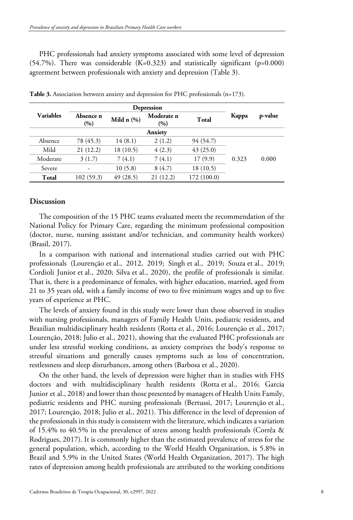PHC professionals had anxiety symptoms associated with some level of depression  $(54.7%)$ . There was considerable  $(K=0.323)$  and statistically significant (p=0.000) agreement between professionals with anxiety and depression (Table 3).

|                  | Depression       |                 |                   |             |       |         |
|------------------|------------------|-----------------|-------------------|-------------|-------|---------|
| <b>Variables</b> | Absence n<br>(%) | Mild $n$ $(\%)$ | Moderate n<br>(%) | Total       | Kappa | p-value |
| Anxiety          |                  |                 |                   |             |       |         |
| Absence          | 78 (45.3)        | 14(8.1)         | 2(1.2)            | 94 (54.7)   |       |         |
| Mild             | 21(12.2)         | 18(10.5)        | 4(2.3)            | 43(25.0)    |       |         |
| Moderate         | 3(1.7)           | 7(4.1)          | 7(4.1)            | 17(9.9)     | 0.323 | 0.000   |
| Severe           | ۰                | 10(5.8)         | 8(4.7)            | 18 (10.5)   |       |         |
| Total            | 102(59.3)        | 49(28.5)        | 21(12.2)          | 172 (100.0) |       |         |

**Table 3.** Association between anxiety and depression for PHC professionals (n=173).

#### **Discussion**

The composition of the 15 PHC teams evaluated meets the recommendation of the National Policy for Primary Care, regarding the minimum professional composition (doctor, nurse, nursing assistant and/or technician, and community health workers) (Brasil, 2017).

In a comparison with national and international studies carried out with PHC professionals (Lourenção et al., 2012, 2019; Singh et al., 2019; Souza et al., 2019; Cordioli Junior et al., 2020; Silva et al., 2020), the profile of professionals is similar. That is, there is a predominance of females, with higher education, married, aged from 21 to 35 years old, with a family income of two to five minimum wages and up to five years of experience at PHC.

The levels of anxiety found in this study were lower than those observed in studies with nursing professionals, managers of Family Health Units, pediatric residents, and Brazilian multidisciplinary health residents (Rotta et al., 2016; Lourenção et al., 2017; Lourenção, 2018; Julio et al., 2021), showing that the evaluated PHC professionals are under less stressful working conditions, as anxiety comprises the body's response to stressful situations and generally causes symptoms such as loss of concentration, restlessness and sleep disturbances, among others (Barbosa et al., 2020).

On the other hand, the levels of depression were higher than in studies with FHS doctors and with multidisciplinary health residents (Rotta et al., 2016; Garcia Junior et al., 2018) and lower than those presented by managers of Health Units Family, pediatric residents and PHC nursing professionals (Bertussi, 2017; Lourenção et al., 2017; Lourenção, 2018; Julio et al., 2021). This difference in the level of depression of the professionals in this study is consistent with the literature, which indicates a variation of 15.4% to 40.5% in the prevalence of stress among health professionals (Corrêa & Rodrigues, 2017). It is commonly higher than the estimated prevalence of stress for the general population, which, according to the World Health Organization, is 5.8% in Brazil and 5.9% in the United States (World Health Organization, 2017). The high rates of depression among health professionals are attributed to the working conditions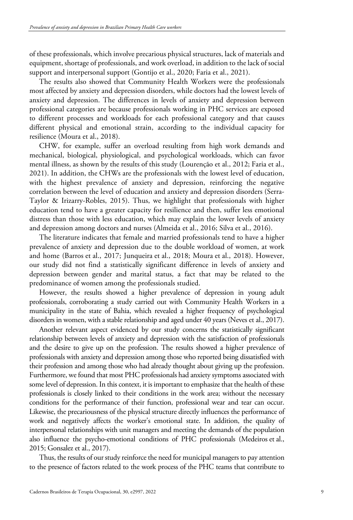of these professionals, which involve precarious physical structures, lack of materials and equipment, shortage of professionals, and work overload, in addition to the lack of social support and interpersonal support (Gontijo et al., 2020; Faria et al., 2021).

The results also showed that Community Health Workers were the professionals most affected by anxiety and depression disorders, while doctors had the lowest levels of anxiety and depression. The differences in levels of anxiety and depression between professional categories are because professionals working in PHC services are exposed to different processes and workloads for each professional category and that causes different physical and emotional strain, according to the individual capacity for resilience (Moura et al., 2018).

CHW, for example, suffer an overload resulting from high work demands and mechanical, biological, physiological, and psychological workloads, which can favor mental illness, as shown by the results of this study (Lourenção et al., 2012; Faria et al., 2021). In addition, the CHWs are the professionals with the lowest level of education, with the highest prevalence of anxiety and depression, reinforcing the negative correlation between the level of education and anxiety and depression disorders (Serra-Taylor & Irizarry-Robles, 2015). Thus, we highlight that professionals with higher education tend to have a greater capacity for resilience and then, suffer less emotional distress than those with less education, which may explain the lower levels of anxiety and depression among doctors and nurses (Almeida et al., 2016; Silva et al., 2016).

The literature indicates that female and married professionals tend to have a higher prevalence of anxiety and depression due to the double workload of women, at work and home (Barros et al., 2017; Junqueira et al., 2018; Moura et al., 2018). However, our study did not find a statistically significant difference in levels of anxiety and depression between gender and marital status, a fact that may be related to the predominance of women among the professionals studied.

However, the results showed a higher prevalence of depression in young adult professionals, corroborating a study carried out with Community Health Workers in a municipality in the state of Bahia, which revealed a higher frequency of psychological disorders in women, with a stable relationship and aged under 40 years (Neves et al., 2017).

Another relevant aspect evidenced by our study concerns the statistically significant relationship between levels of anxiety and depression with the satisfaction of professionals and the desire to give up on the profession. The results showed a higher prevalence of professionals with anxiety and depression among those who reported being dissatisfied with their profession and among those who had already thought about giving up the profession. Furthermore, we found that most PHC professionals had anxiety symptoms associated with some level of depression. In this context, it is important to emphasize that the health of these professionals is closely linked to their conditions in the work area; without the necessary conditions for the performance of their function, professional wear and tear can occur. Likewise, the precariousness of the physical structure directly influences the performance of work and negatively affects the worker's emotional state. In addition, the quality of interpersonal relationships with unit managers and meeting the demands of the population also influence the psycho-emotional conditions of PHC professionals (Medeiros et al., 2015; Gonsalez et al., 2017).

Thus, the results of our study reinforce the need for municipal managers to pay attention to the presence of factors related to the work process of the PHC teams that contribute to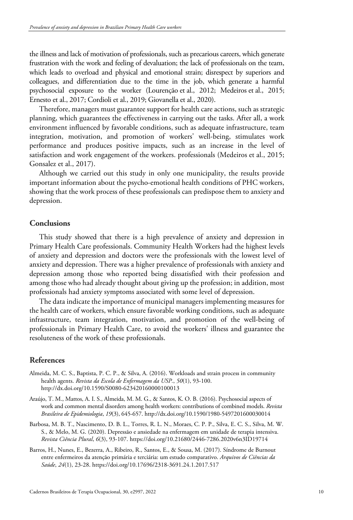the illness and lack of motivation of professionals, such as precarious careers, which generate frustration with the work and feeling of devaluation; the lack of professionals on the team, which leads to overload and physical and emotional strain; disrespect by superiors and colleagues, and differentiation due to the time in the job, which generate a harmful psychosocial exposure to the worker (Lourenção et al., 2012; Medeiros et al., 2015; Ernesto et al., 2017; Cordioli et al., 2019; Giovanella et al., 2020).

Therefore, managers must guarantee support for health care actions, such as strategic planning, which guarantees the effectiveness in carrying out the tasks. After all, a work environment influenced by favorable conditions, such as adequate infrastructure, team integration, motivation, and promotion of workers' well-being, stimulates work performance and produces positive impacts, such as an increase in the level of satisfaction and work engagement of the workers. professionals (Medeiros et al., 2015; Gonsalez et al., 2017).

Although we carried out this study in only one municipality, the results provide important information about the psycho-emotional health conditions of PHC workers, showing that the work process of these professionals can predispose them to anxiety and depression.

## **Conclusions**

This study showed that there is a high prevalence of anxiety and depression in Primary Health Care professionals. Community Health Workers had the highest levels of anxiety and depression and doctors were the professionals with the lowest level of anxiety and depression. There was a higher prevalence of professionals with anxiety and depression among those who reported being dissatisfied with their profession and among those who had already thought about giving up the profession; in addition, most professionals had anxiety symptoms associated with some level of depression.

The data indicate the importance of municipal managers implementing measures for the health care of workers, which ensure favorable working conditions, such as adequate infrastructure, team integration, motivation, and promotion of the well-being of professionals in Primary Health Care, to avoid the workers' illness and guarantee the resoluteness of the work of these professionals.

## **References**

- Almeida, M. C. S., Baptista, P. C. P., & Silva, A. (2016). Workloads and strain process in community health agents. *Revista da Escola de Enfermagem da USP.*, *50*(1), 93-100. http://dx.doi.org/10.1590/S0080-623420160000100013
- Araújo, T. M., Mattos, A. I. S., Almeida, M. M. G., & Santos, K. O. B. (2016). Psychosocial aspects of work and common mental disorders among health workers: contributions of combined models. *Revista Brasileira de Epidemiologia*, *19*(3), 645-657. http://dx.doi.org/10.1590/1980-5497201600030014
- Barbosa, M. B. T., Nascimento, D. B. L., Torres, R. L. N., Moraes, C. P. P., Silva, E. C. S., Silva, M. W. S., & Melo, M. G. (2020). Depressão e ansiedade na enfermagem em unidade de terapia intensiva. *Revista Ciência Plural*, *6*(3), 93-107. https://doi.org/10.21680/2446-7286.2020v6n3ID19714
- Barros, H., Nunes, E., Bezerra, A., Ribeiro, R., Santos, E., & Sousa, M. (2017). Síndrome de Burnout entre enfermeiros da atenção primária e terciária: um estudo comparativo. *Arquivos de Ciências da Saúde*, *24*(1), 23-28. https://doi.org/10.17696/2318-3691.24.1.2017.517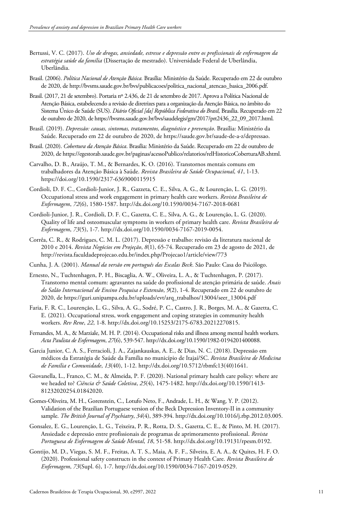- Bertussi, V. C. (2017). *Uso de drogas, ansiedade, estresse e depressão entre os profissionais de enfermagem da estratégia saúde da família* (Dissertação de mestrado). Universidade Federal de Uberlândia, Uberlândia.
- Brasil. (2006). *Política Nacional de Atenção Básica.* Brasília: Ministério da Saúde. Recuperado em 22 de outubro de 2020, de http://bvsms.saude.gov.br/bvs/publicacoes/politica\_nacional\_atencao\_basica\_2006.pdf.
- Brasil. (2017, 21 de setembro). Portaria nº 2.436, de 21 de setembro de 2017. Aprova a Política Nacional de Atenção Básica, estabelecendo a revisão de diretrizes para a organização da Atenção Básica, no âmbito do Sistema Único de Saúde (SUS). *Diário Oficial [da] República Federativa do Brasil,* Brasília. Recuperado em 22 de outubro de 2020, de https://bvsms.saude.gov.br/bvs/saudelegis/gm/2017/prt2436\_22\_09\_2017.html.
- Brasil. (2019). *Depressão: causas, sintomas, tratamentos, diagnóstico e prevenção*. Brasília: Ministério da Saúde. Recuperado em 22 de outubro de 2020, de https://saude.gov.br/saude-de-a-z/depressao.
- Brasil. (2020). *Cobertura da Atenção Básica*. Brasília: Ministério da Saúde. Recuperado em 22 de outubro de 2020, de https://egestorab.saude.gov.br/paginas/acessoPublico/relatorios/relHistoricoCoberturaAB.xhtml.
- Carvalho, D. B., Araújo, T. M., & Bernardes, K. O. (2016). Transtornos mentais comuns em trabalhadores da Atenção Básica à Saúde. *Revista Brasileira de Saúde Ocupacional*, *41*, 1-13. https://doi.org/10.1590/2317-6369000115915
- Cordioli, D. F. C., Cordioli-Junior, J. R., Gazzeta, C. E., Silva, A. G., & Lourenção, L. G. (2019). Occupational stress and work engagement in primary health care workers. *Revista Brasileira de Enfermagem*, *72*(6), 1580-1587. http://dx.doi.org/10.1590/0034-7167-2018-0681
- Cordioli-Junior, J. R., Cordioli, D. F. C., Gazetta, C. E., Silva, A. G., & Lourenção, L. G. (2020). Quality of life and osteomuscular symptoms in workers of primary health care. *Revista Brasileira de Enfermagem*, *73*(5), 1-7. http://dx.doi.org/10.1590/0034-7167-2019-0054.
- Corrêa, C. R., & Rodrigues, C. M. L. (2017). Depressão e trabalho: revisão da literatura nacional de 2010 e 2014. *Revista Negócios em Projeção*, *8*(1), 65-74. Recuperado em 23 de agosto de 2021, de http://revista.faculdadeprojecao.edu.br/index.php/Projecao1/article/view/773
- Cunha, J. A. (2001). *Manual da versão em português das Escalas Beck*. São Paulo: Casa do Psicólogo.
- Ernesto, N., Tuchtenhagen, P. H., Biscaglia, A. W., Oliveira, L. A., & Tuchtenhagen, P. (2017). Transtorno mental comum: agravantes na saúde do profissional de atenção primária de saúde. *Anais do Salão Internacional de Ensino Pesquisa e Extensão*, *9*(2), 1-4. Recuperado em 22 de outubro de 2020, de https://guri.unipampa.edu.br/uploads/evt/arq\_trabalhos/13004/seer\_13004.pdf
- Faria, F. R. C., Lourenção, L. G., Silva, A. G., Sodré, P. C., Castro, J. R., Borges, M. A., & Gazetta, C. E. (2021). Occupational stress, work engagement and coping strategies in community health workers. *Rev Rene*, *22*, 1-8. http://dx.doi.org/10.15253/2175-6783.20212270815.
- Fernandes, M. A., & Marziale, M. H. P. (2014). Occupational risks and illness among mental health workers. *Acta Paulista de Enfermagem*, *27*(6), 539-547. http://dx.doi.org/10.1590/1982-0194201400088.
- Garcia Junior, C. A. S., Ferracioli, J. A., Zajankauskas, A. E., & Dias, N. C. (2018). Depressão em médicos da Estratégia de Saúde da Família no município de Itajaí/SC. *Revista Brasileira de Medicina de Família e Comunidade*, *13*(40), 1-12. http://dx.doi.org/10.5712/rbmfc13(40)1641.
- Giovanella, L., Franco, C. M., & Almeida, P. F. (2020). National primary health care policy: where are we headed to? *Ciência & Saúde Coletiva*, *25*(4), 1475-1482. http://dx.doi.org/10.1590/1413- 81232020254.01842020.
- Gomes-Oliveira, M. H., Gorenstein, C., Lotufo Neto, F., Andrade, L. H., & Wang, Y. P. (2012). Validation of the Brazilian Portuguese version of the Beck Depression Inventory-II in a community sample. *The British Journal of Psychiatry*, *34*(4), 389-394. http://dx.doi.org/10.1016/j.rbp.2012.03.005.
- Gonsalez, E. G., Lourenção, L. G., Teixeira, P. R., Rotta, D. S., Gazetta, C. E., & Pinto, M. H. (2017). Ansiedade e depressão entre profissionais de programas de aprimoramento profissional. *Revista Portuguesa de Enfermagem de Saúde Mental*, *18*, 51-58. http://dx.doi.org/10.19131/rpesm.0192.
- Gontijo, M. D., Viegas, S. M. F., Freitas, A. T. S., Maia, A. F. F., Silveira, E. A. A., & Quites, H. F. O. (2020). Professional safety constructs in the context of Primary Health Care. *Revista Brasileira de Enfermagem*, *73*(Supl. 6), 1-7. http://dx.doi.org/10.1590/0034-7167-2019-0529.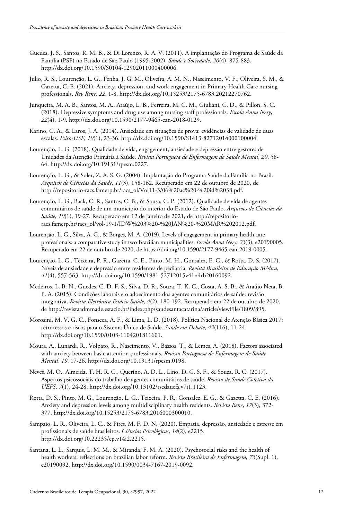- Guedes, J. S., Santos, R. M. B., & Di Lorenzo, R. A. V. (2011). A implantação do Programa de Saúde da Família (PSF) no Estado de São Paulo (1995-2002). *Saúde e Sociedade*, *20*(4), 875-883. http://dx.doi.org/10.1590/S0104-12902011000400006.
- Julio, R. S., Lourenção, L. G., Penha, J. G. M., Oliveira, A. M. N., Nascimento, V. F., Oliveira, S. M., & Gazetta, C. E. (2021). Anxiety, depression, and work engagement in Primary Health Care nursing professionals. *Rev Rene*, *22*, 1-8. http://dx.doi.org/10.15253/2175-6783.20212270762.
- Junqueira, M. A. B., Santos, M. A., Araújo, L. B., Ferreira, M. C. M., Giuliani, C. D., & Pillon, S. C. (2018). Depressive symptoms and drug use among nursing staff professionals. *Escola Anna Nery*, *22*(4), 1-9. http://dx.doi.org/10.1590/2177-9465-ean-2018-0129.
- Karino, C. A., & Laros, J. A. (2014). Ansiedade em situações de prova: evidências de validade de duas escalas. *Psico-USF*, *19*(1), 23-36. http://dx.doi.org/10.1590/S1413-82712014000100004.
- Lourenção, L. G. (2018). Qualidade de vida, engagement, ansiedade e depressão entre gestores de Unidades da Atenção Primária à Saúde. *Revista Portuguesa de Enfermagem de Saúde Mental*, *20*, 58- 64. http://dx.doi.org/10.19131/rpesm.0227.
- Lourenção, L. G., & Soler, Z. A. S. G. (2004). Implantação do Programa Saúde da Família no Brasil. *Arquivos de Ciências da Saúde*, *11*(3), 158-162. Recuperado em 22 de outubro de 2020, de http://repositorio-racs.famerp.br/racs\_ol/Vol11-3/06%20ac%20-%20id%2038.pdf.
- Lourenção, L. G., Back, C. R., Santos, C. B., & Sousa, C. P. (2012). Qualidade de vida de agentes comunitários de saúde de um município do interior do Estado de São Paulo. *Arquivos de Ciências da Saúde*, *19*(1), 19-27. Recuperado em 12 de janeiro de 2021, de http://repositorioracs.famerp.br/racs\_ol/vol-19-1/IDW%203%20-%20JAN%20-%20MAR%202012.pdf.
- Lourenção, L. G., Silva, A. G., & Borges, M. A. (2019). Levels of engagement in primary health care professionals: a comparative study in two Brazilian municipalities. *Escola Anna Nery*, *23*(3), e20190005. Recuperado em 22 de outubro de 2020, de https://doi.org/10.1590/2177-9465-ean-2019-0005.
- Lourenção, L. G., Teixeira, P. R., Gazetta, C. E., Pinto, M. H., Gonsalez, E. G., & Rotta, D. S. (2017). Níveis de ansiedade e depressão entre residentes de pediatria. *Revista Brasileira de Educação Médica*, *41*(4), 557-563. http://dx.doi.org/10.1590/1981-52712015v41n4rb20160092.
- Medeiros, L. B. N., Guedes, C. D. F. S., Silva, D. R., Souza, T. K. C., Costa, A. S. B., & Araújo Neta, B. P. A. (2015). Condições laborais e o adoecimento dos agentes comunitários de saúde: revisão integrativa. *Revista Eletrônica Estácio Saúde*, *4*(2), 180-192. Recuperado em 22 de outubro de 2020, de http://revistaadmmade.estacio.br/index.php/saudesantacatarina/article/viewFile/1809/895.
- Morosini, M. V. G. C., Fonseca, A. F., & Lima, L. D. (2018). Política Nacional de Atenção Básica 2017: retrocessos e riscos para o Sistema Único de Saúde. *Saúde em Debate*, *42*(116), 11-24. http://dx.doi.org/10.1590/0103-1104201811601.
- Moura, A., Lunardi, R., Volpato, R., Nascimento, V., Bassos, T., & Lemes, A. (2018). Factors associated with anxiety between basic attention professionals. *Revista Portuguesa de Enfermagem de Saúde Mental*, *19*, 17-26. http://dx.doi.org/10.19131/rpesm.0198.
- Neves, M. O., Almeida, T. H. R. C., Querino, A. D. L., Lino, D. C. S. F., & Souza, R. C. (2017). Aspectos psicossociais do trabalho de agentes comunitários de saúde. *Revista de Saúde Coletiva da UEFS*, *7*(1), 24-28. http://dx.doi.org/10.13102/rscdauefs.v7i1.1123.
- Rotta, D. S., Pinto, M. G., Lourenção, L. G., Teixeira, P. R., Gonsalez, E. G., & Gazetta, C. E. (2016). Anxiety and depression levels among multidisciplinary health residents. *Revista Rene*, *17*(3), 372- 377. http://dx.doi.org/10.15253/2175-6783.2016000300010.
- Sampaio, L. R., Oliveira, L. C., & Pires, M. F. D. N. (2020). Empatia, depressão, ansiedade e estresse em profissionais de saúde brasileiros. *Ciências Psicológicas*, *14*(2), e2215. http://dx.doi.org/10.22235/cp.v14i2.2215.
- Santana, L. L., Sarquis, L. M. M., & Miranda, F. M. A. (2020). Psychosocial risks and the health of health workers: reflections on brazilian labor reform. *Revista Brasileira de Enfermagem*, *73*(Supl. 1), e20190092. http://dx.doi.org/10.1590/0034-7167-2019-0092.